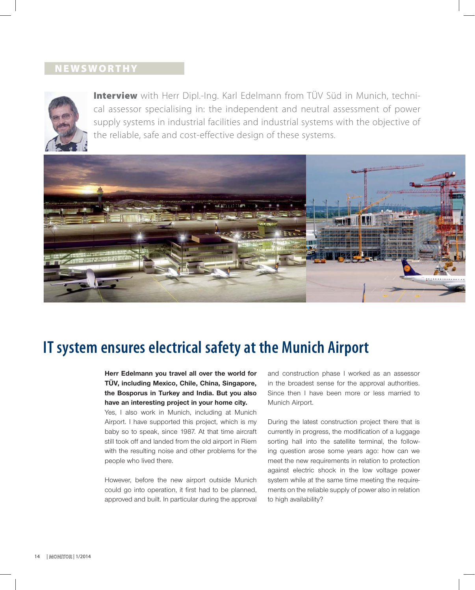## **NEWSWORTHY**



**Interview** with Herr Dipl.-Ing. Karl Edelmann from TÜV Süd in Munich, technical assessor specialising in: the independent and neutral assessment of power supply systems in industrial facilities and industrial systems with the objective of the reliable, safe and cost-effective design of these systems.



# **IT system ensures electrical safety at the Munich Airport**

**Herr Edelmann you travel all over the world for TÜV, including Mexico, Chile, China, Singapore, the Bosporus in Turkey and India. But you also have an interesting project in your home city.**

Yes, I also work in Munich, including at Munich Airport. I have supported this project, which is my baby so to speak, since 1987. At that time aircraft still took off and landed from the old airport in Riem with the resulting noise and other problems for the people who lived there.

However, before the new airport outside Munich could go into operation, it first had to be planned, approved and built. In particular during the approval

and construction phase I worked as an assessor in the broadest sense for the approval authorities. Since then I have been more or less married to Munich Airport.

During the latest construction project there that is currently in progress, the modification of a luggage sorting hall into the satellite terminal, the following question arose some years ago: how can we meet the new requirements in relation to protection against electric shock in the low voltage power system while at the same time meeting the requirements on the reliable supply of power also in relation to high availability?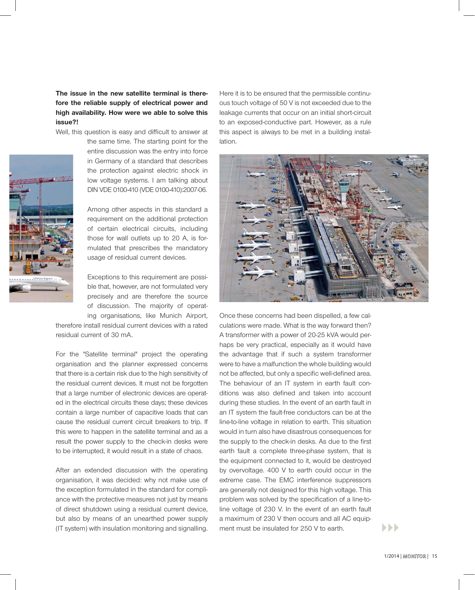## **The issue in the new satellite terminal is therefore the reliable supply of electrical power and high availability. How were we able to solve this issue?!**

Well, this question is easy and difficult to answer at



the same time. The starting point for the entire discussion was the entry into force in Germany of a standard that describes the protection against electric shock in low voltage systems. I am talking about DIN VDE 0100-410 (VDE 0100-410):2007-06.

Among other aspects in this standard a requirement on the additional protection of certain electrical circuits, including those for wall outlets up to 20 A, is for-t mulated that prescribes the mandatory usage of residual current devices.

Exceptions to this requirement are possible that, however, are not formulated very precisely and are therefore the source of discussion. The majority of operating organisations, like Munich Airport,

therefore install residual current devices with a rated residual current of 30 mA.

For the "Satellite terminal" project the operating organisation and the planner expressed concerns that there is a certain risk due to the high sensitivity of the residual current devices. It must not be forgotten that a large number of electronic devices are operated in the electrical circuits these days; these devices contain a large number of capacitive loads that can cause the residual current circuit breakers to trip. If this were to happen in the satellite terminal and as a result the power supply to the check-in desks were to be interrupted, it would result in a state of chaos.

After an extended discussion with the operating organisation, it was decided: why not make use of the exception formulated in the standard for compliance with the protective measures not just by means of direct shutdown using a residual current device, but also by means of an unearthed power supply (IT system) with insulation monitoring and signalling.

Here it is to be ensured that the permissible continuous touch voltage of 50 V is not exceeded due to the leakage currents that occur on an initial short-circuit to an exposed-conductive part. However, as a rule this aspect is always to be met in a building installation.



Once these concerns had been dispelled, a few calculations were made. What is the way forward then? A transformer with a power of 20-25 kVA would perhaps be very practical, especially as it would have the advantage that if such a system transformer were to have a malfunction the whole building would not be affected, but only a specific well-defined area. The behaviour of an IT system in earth fault conditions was also defined and taken into account during these studies. In the event of an earth fault in an IT system the fault-free conductors can be at the line-to-line voltage in relation to earth. This situation would in turn also have disastrous consequences for the supply to the check-in desks. As due to the first earth fault a complete three-phase system, that is the equipment connected to it, would be destroyed by overvoltage. 400 V to earth could occur in the extreme case. The EMC interference suppressors are generally not designed for this high voltage. This problem was solved by the specification of a line-toline voltage of 230 V. In the event of an earth fault a maximum of 230 V then occurs and all AC equipment must be insulated for 250 V to earth.